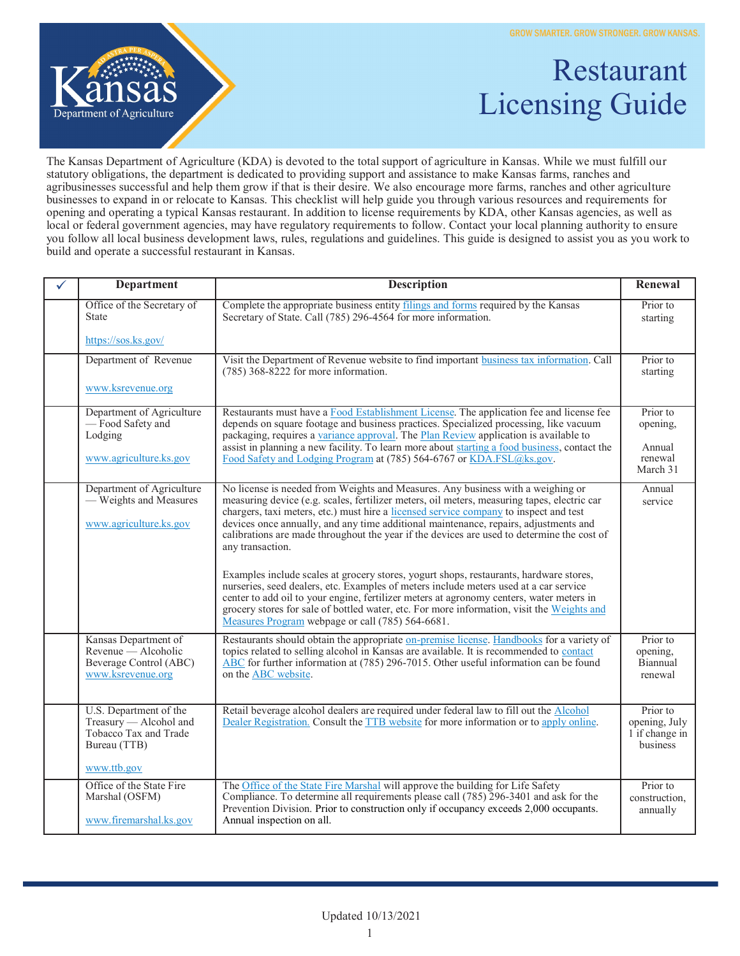

## Restaurant Licensing Guide

The Kansas Department of Agriculture (KDA) is devoted to the total support of agriculture in Kansas. While we must fulfill our statutory obligations, the department is dedicated to providing support and assistance to make Kansas farms, ranches and agribusinesses successful and help them grow if that is their desire. We also encourage more farms, ranches and other agriculture businesses to expand in or relocate to Kansas. This checklist will help guide you through various resources and requirements for opening and operating a typical Kansas restaurant. In addition to license requirements by KDA, other Kansas agencies, as well as local or federal government agencies, may have regulatory requirements to follow. Contact your local planning authority to ensure you follow all local business development laws, rules, regulations and guidelines. This guide is designed to assist you as you work to build and operate a successful restaurant in Kansas.

| ✓ | <b>Department</b>                                                                                        | <b>Description</b>                                                                                                                                                                                                                                                                                                                                                                                                                                                                | Renewal                                                 |
|---|----------------------------------------------------------------------------------------------------------|-----------------------------------------------------------------------------------------------------------------------------------------------------------------------------------------------------------------------------------------------------------------------------------------------------------------------------------------------------------------------------------------------------------------------------------------------------------------------------------|---------------------------------------------------------|
|   | Office of the Secretary of<br><b>State</b>                                                               | Complete the appropriate business entity filings and forms required by the Kansas<br>Secretary of State. Call (785) 296-4564 for more information.                                                                                                                                                                                                                                                                                                                                | Prior to<br>starting                                    |
|   | https://sos.ks.gov/                                                                                      |                                                                                                                                                                                                                                                                                                                                                                                                                                                                                   |                                                         |
|   | Department of Revenue                                                                                    | Visit the Department of Revenue website to find important business tax information. Call<br>$(785)$ 368-8222 for more information.                                                                                                                                                                                                                                                                                                                                                | Prior to<br>starting                                    |
|   | www.ksrevenue.org                                                                                        |                                                                                                                                                                                                                                                                                                                                                                                                                                                                                   |                                                         |
|   | Department of Agriculture<br>-Food Safety and<br>Lodging<br>www.agriculture.ks.gov                       | Restaurants must have a Food Establishment License. The application fee and license fee<br>depends on square footage and business practices. Specialized processing, like vacuum<br>packaging, requires a variance approval. The Plan Review application is available to<br>assist in planning a new facility. To learn more about starting a food business, contact the<br>Food Safety and Lodging Program at (785) 564-6767 or KDA.FSL@ks.gov.                                  | Prior to<br>opening,<br>Annual<br>renewal<br>March 31   |
|   | Department of Agriculture<br>— Weights and Measures<br>www.agriculture.ks.gov                            | No license is needed from Weights and Measures. Any business with a weighing or<br>measuring device (e.g. scales, fertilizer meters, oil meters, measuring tapes, electric car<br>chargers, taxi meters, etc.) must hire a licensed service company to inspect and test<br>devices once annually, and any time additional maintenance, repairs, adjustments and<br>calibrations are made throughout the year if the devices are used to determine the cost of<br>any transaction. | Annual<br>service                                       |
|   |                                                                                                          | Examples include scales at grocery stores, yogurt shops, restaurants, hardware stores,<br>nurseries, seed dealers, etc. Examples of meters include meters used at a car service<br>center to add oil to your engine, fertilizer meters at agronomy centers, water meters in<br>grocery stores for sale of bottled water, etc. For more information, visit the Weights and<br>Measures Program webpage or call (785) 564-6681.                                                     |                                                         |
|   | Kansas Department of<br>Revenue - Alcoholic<br>Beverage Control (ABC)<br>www.ksrevenue.org               | Restaurants should obtain the appropriate on-premise license. Handbooks for a variety of<br>topics related to selling alcohol in Kansas are available. It is recommended to contact<br>ABC for further information at (785) 296-7015. Other useful information can be found<br>on the <b>ABC</b> website.                                                                                                                                                                         | Prior to<br>opening.<br>Biannual<br>renewal             |
|   | U.S. Department of the<br>Treasury - Alcohol and<br>Tobacco Tax and Trade<br>Bureau (TTB)<br>www.ttb.gov | Retail beverage alcohol dealers are required under federal law to fill out the <b>Alcohol</b><br>Dealer Registration. Consult the TTB website for more information or to apply online.                                                                                                                                                                                                                                                                                            | Prior to<br>opening, July<br>1 if change in<br>business |
|   | Office of the State Fire<br>Marshal (OSFM)<br>www.firemarshal.ks.gov                                     | The Office of the State Fire Marshal will approve the building for Life Safety<br>Compliance. To determine all requirements please call (785) 296-3401 and ask for the<br>Prevention Division. Prior to construction only if occupancy exceeds 2,000 occupants.<br>Annual inspection on all.                                                                                                                                                                                      | Prior to<br>construction,<br>annually                   |